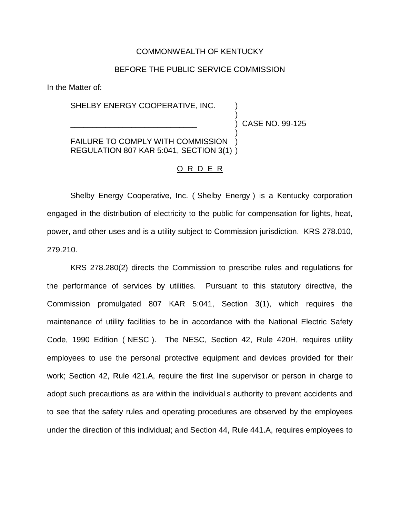## COMMONWEALTH OF KENTUCKY

## BEFORE THE PUBLIC SERVICE COMMISSION

In the Matter of:

## SHELBY ENERGY COOPERATIVE, INC.

\_\_\_\_\_\_\_\_\_\_\_\_\_\_\_\_\_\_\_\_\_\_\_\_\_\_\_\_\_ ) CASE NO. 99-125

)

)

FAILURE TO COMPLY WITH COMMISSION REGULATION 807 KAR 5:041, SECTION 3(1) )

## O R D E R

Shelby Energy Cooperative, Inc. ( Shelby Energy ) is a Kentucky corporation engaged in the distribution of electricity to the public for compensation for lights, heat, power, and other uses and is a utility subject to Commission jurisdiction. KRS 278.010, 279.210.

KRS 278.280(2) directs the Commission to prescribe rules and regulations for the performance of services by utilities. Pursuant to this statutory directive, the Commission promulgated 807 KAR 5:041, Section 3(1), which requires the maintenance of utility facilities to be in accordance with the National Electric Safety Code, 1990 Edition ( NESC ). The NESC, Section 42, Rule 420H, requires utility employees to use the personal protective equipment and devices provided for their work; Section 42, Rule 421.A, require the first line supervisor or person in charge to adopt such precautions as are within the individual s authority to prevent accidents and to see that the safety rules and operating procedures are observed by the employees under the direction of this individual; and Section 44, Rule 441.A, requires employees to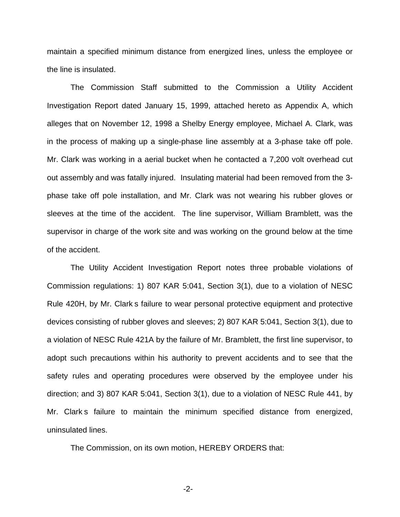maintain a specified minimum distance from energized lines, unless the employee or the line is insulated.

The Commission Staff submitted to the Commission a Utility Accident Investigation Report dated January 15, 1999, attached hereto as Appendix A, which alleges that on November 12, 1998 a Shelby Energy employee, Michael A. Clark, was in the process of making up a single-phase line assembly at a 3-phase take off pole. Mr. Clark was working in a aerial bucket when he contacted a 7,200 volt overhead cut out assembly and was fatally injured. Insulating material had been removed from the 3 phase take off pole installation, and Mr. Clark was not wearing his rubber gloves or sleeves at the time of the accident. The line supervisor, William Bramblett, was the supervisor in charge of the work site and was working on the ground below at the time of the accident.

The Utility Accident Investigation Report notes three probable violations of Commission regulations: 1) 807 KAR 5:041, Section 3(1), due to a violation of NESC Rule 420H, by Mr. Clark s failure to wear personal protective equipment and protective devices consisting of rubber gloves and sleeves; 2) 807 KAR 5:041, Section 3(1), due to a violation of NESC Rule 421A by the failure of Mr. Bramblett, the first line supervisor, to adopt such precautions within his authority to prevent accidents and to see that the safety rules and operating procedures were observed by the employee under his direction; and 3) 807 KAR 5:041, Section 3(1), due to a violation of NESC Rule 441, by Mr. Clark s failure to maintain the minimum specified distance from energized, uninsulated lines.

The Commission, on its own motion, HEREBY ORDERS that:

-2-